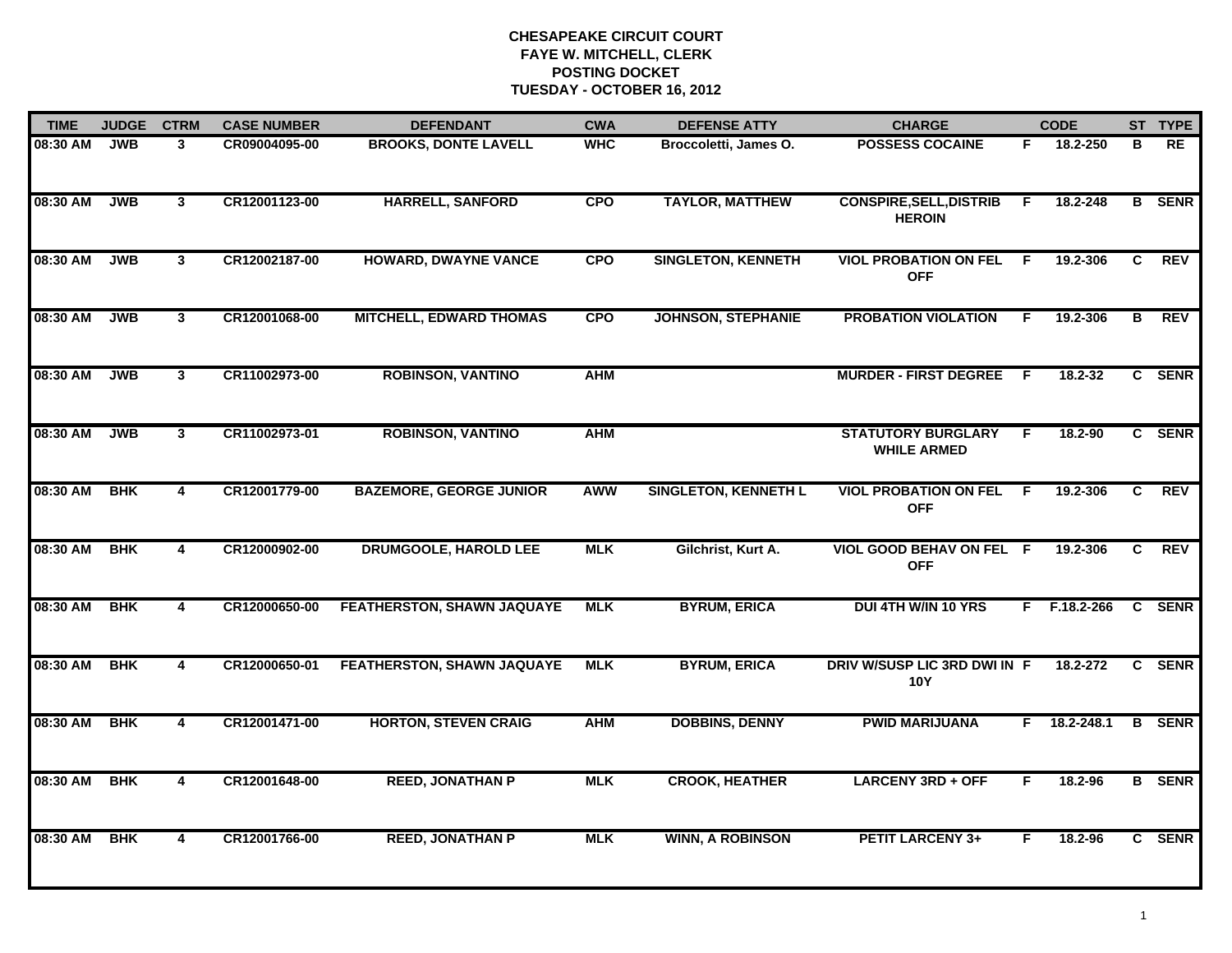| <b>TIME</b> | <b>JUDGE</b> | <b>CTRM</b>             | <b>CASE NUMBER</b> | <b>DEFENDANT</b>                  | <b>CWA</b> | <b>DEFENSE ATTY</b>         | <b>CHARGE</b>                                   |                | <b>CODE</b>    |    | ST TYPE       |
|-------------|--------------|-------------------------|--------------------|-----------------------------------|------------|-----------------------------|-------------------------------------------------|----------------|----------------|----|---------------|
| 08:30 AM    | <b>JWB</b>   | 3                       | CR09004095-00      | <b>BROOKS, DONTE LAVELL</b>       | <b>WHC</b> | Broccoletti, James O.       | <b>POSSESS COCAINE</b>                          | F.             | 18.2-250       | в  | <b>RE</b>     |
| 08:30 AM    | <b>JWB</b>   | 3 <sup>1</sup>          | CR12001123-00      | <b>HARRELL, SANFORD</b>           | <b>CPO</b> | <b>TAYLOR, MATTHEW</b>      | <b>CONSPIRE, SELL, DISTRIB</b><br><b>HEROIN</b> | F.             | 18.2-248       |    | <b>B</b> SENR |
| 08:30 AM    | <b>JWB</b>   | 3 <sup>1</sup>          | CR12002187-00      | <b>HOWARD, DWAYNE VANCE</b>       | <b>CPO</b> | <b>SINGLETON, KENNETH</b>   | <b>VIOL PROBATION ON FEL</b><br><b>OFF</b>      | - F            | 19.2-306       | C  | <b>REV</b>    |
| 08:30 AM    | <b>JWB</b>   | 3                       | CR12001068-00      | <b>MITCHELL, EDWARD THOMAS</b>    | <b>CPO</b> | <b>JOHNSON, STEPHANIE</b>   | <b>PROBATION VIOLATION</b>                      | F.             | 19.2-306       | в  | <b>REV</b>    |
| 08:30 AM    | <b>JWB</b>   | 3 <sup>1</sup>          | CR11002973-00      | <b>ROBINSON, VANTINO</b>          | <b>AHM</b> |                             | <b>MURDER - FIRST DEGREE</b>                    | - F            | 18.2-32        |    | C SENR        |
| 08:30 AM    | <b>JWB</b>   | $3^{\circ}$             | CR11002973-01      | <b>ROBINSON, VANTINO</b>          | <b>AHM</b> |                             | <b>STATUTORY BURGLARY</b><br><b>WHILE ARMED</b> | F.             | 18.2-90        |    | C SENR        |
| 08:30 AM    | <b>BHK</b>   | $\overline{4}$          | CR12001779-00      | <b>BAZEMORE, GEORGE JUNIOR</b>    | <b>AWW</b> | <b>SINGLETON, KENNETH L</b> | <b>VIOL PROBATION ON FEL</b><br><b>OFF</b>      | $\overline{F}$ | 19.2-306       | C  | <b>REV</b>    |
| 08:30 AM    | <b>BHK</b>   | 4                       | CR12000902-00      | <b>DRUMGOOLE, HAROLD LEE</b>      | <b>MLK</b> | Gilchrist, Kurt A.          | VIOL GOOD BEHAV ON FEL F<br><b>OFF</b>          |                | 19.2-306       | C. | <b>REV</b>    |
| 08:30 AM    | <b>BHK</b>   | 4                       | CR12000650-00      | <b>FEATHERSTON, SHAWN JAQUAYE</b> | <b>MLK</b> | <b>BYRUM, ERICA</b>         | <b>DUI 4TH W/IN 10 YRS</b>                      |                | F F.18.2-266   |    | C SENR        |
| 08:30 AM    | <b>BHK</b>   | $\overline{\mathbf{4}}$ | CR12000650-01      | FEATHERSTON, SHAWN JAQUAYE        | <b>MLK</b> | <b>BYRUM, ERICA</b>         | DRIV W/SUSP LIC 3RD DWI IN F<br><b>10Y</b>      |                | 18.2-272       |    | C SENR        |
| 08:30 AM    | <b>BHK</b>   | 4                       | CR12001471-00      | <b>HORTON, STEVEN CRAIG</b>       | <b>AHM</b> | <b>DOBBINS, DENNY</b>       | <b>PWID MARIJUANA</b>                           |                | $F$ 18.2-248.1 |    | <b>B</b> SENR |
| 08:30 AM    | <b>BHK</b>   | 4                       | CR12001648-00      | <b>REED, JONATHAN P</b>           | <b>MLK</b> | <b>CROOK, HEATHER</b>       | <b>LARCENY 3RD + OFF</b>                        | F.             | 18.2-96        |    | <b>B</b> SENR |
| 08:30 AM    | <b>BHK</b>   | 4                       | CR12001766-00      | <b>REED, JONATHAN P</b>           | <b>MLK</b> | <b>WINN, A ROBINSON</b>     | <b>PETIT LARCENY 3+</b>                         | F.             | 18.2-96        |    | C SENR        |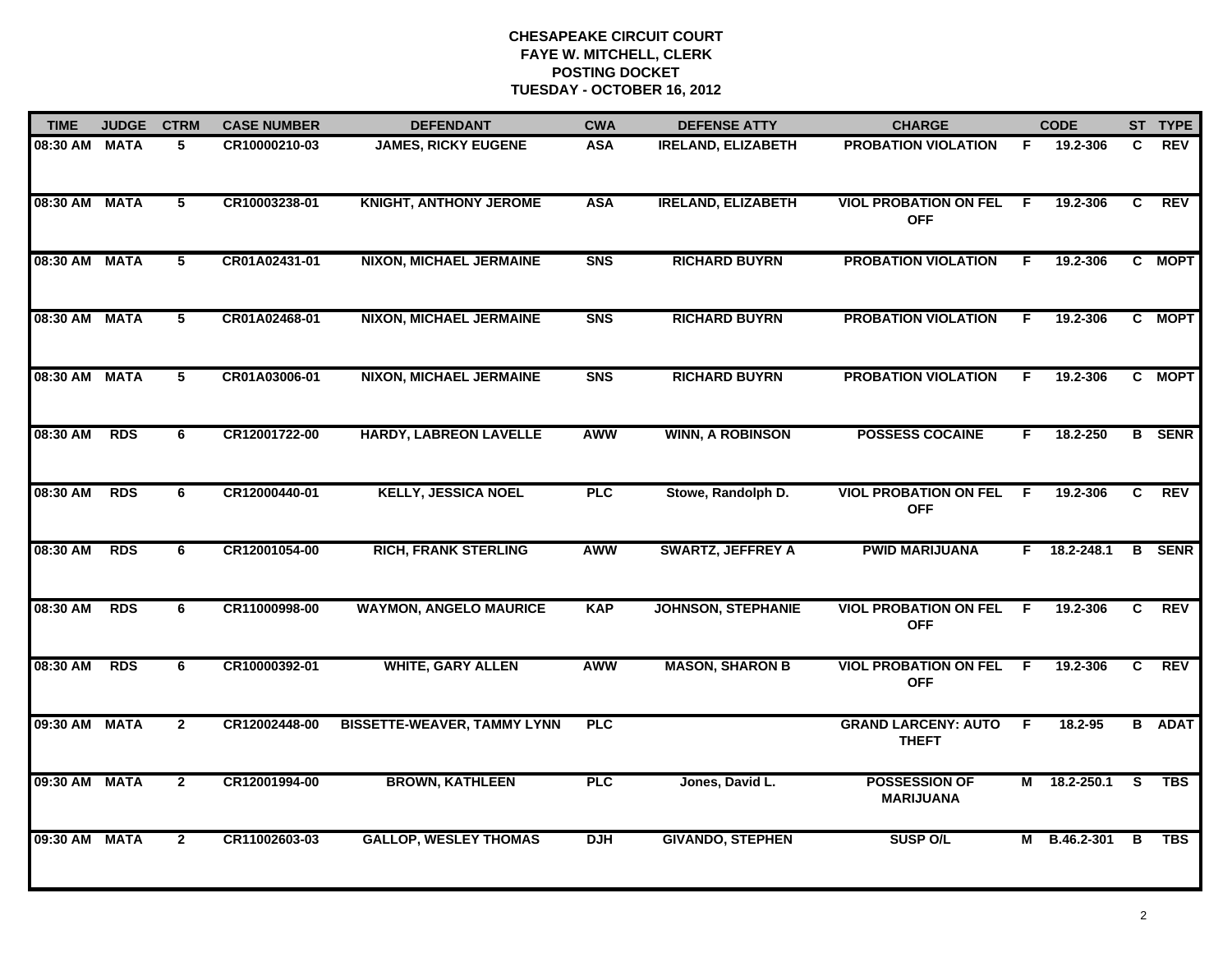| <b>TIME</b>   | <b>JUDGE</b> | <b>CTRM</b>    | <b>CASE NUMBER</b> | <b>DEFENDANT</b>                   | <b>CWA</b>     | <b>DEFENSE ATTY</b>       | <b>CHARGE</b>                              |     | <b>CODE</b>    |                | ST TYPE       |
|---------------|--------------|----------------|--------------------|------------------------------------|----------------|---------------------------|--------------------------------------------|-----|----------------|----------------|---------------|
| 08:30 AM MATA |              | 5.             | CR10000210-03      | <b>JAMES, RICKY EUGENE</b>         | <b>ASA</b>     | <b>IRELAND, ELIZABETH</b> | <b>PROBATION VIOLATION</b>                 | F.  | 19.2-306       | C              | <b>REV</b>    |
| 08:30 AM MATA |              | 5              | CR10003238-01      | <b>KNIGHT, ANTHONY JEROME</b>      | <b>ASA</b>     | <b>IRELAND, ELIZABETH</b> | <b>VIOL PROBATION ON FEL</b><br><b>OFF</b> | - F | 19.2-306       | C              | REV           |
| 08:30 AM MATA |              | 5              | CR01A02431-01      | <b>NIXON, MICHAEL JERMAINE</b>     | <b>SNS</b>     | <b>RICHARD BUYRN</b>      | <b>PROBATION VIOLATION</b>                 | F   | 19.2-306       |                | C MOPT        |
| 08:30 AM MATA |              | 5              | CR01A02468-01      | <b>NIXON, MICHAEL JERMAINE</b>     | S <sub>N</sub> | <b>RICHARD BUYRN</b>      | <b>PROBATION VIOLATION</b>                 | F.  | 19.2-306       |                | C MOPT        |
| 08:30 AM MATA |              | 5              | CR01A03006-01      | <b>NIXON, MICHAEL JERMAINE</b>     | S <sub>N</sub> | <b>RICHARD BUYRN</b>      | <b>PROBATION VIOLATION</b>                 | F.  | 19.2-306       |                | C MOPT        |
| 08:30 AM      | <b>RDS</b>   | 6              | CR12001722-00      | <b>HARDY, LABREON LAVELLE</b>      | <b>AWW</b>     | <b>WINN, A ROBINSON</b>   | <b>POSSESS COCAINE</b>                     | F.  | 18.2-250       |                | <b>B</b> SENR |
| 08:30 AM      | <b>RDS</b>   | 6              | CR12000440-01      | <b>KELLY, JESSICA NOEL</b>         | <b>PLC</b>     | Stowe, Randolph D.        | <b>VIOL PROBATION ON FEL</b><br><b>OFF</b> | E   | 19.2-306       | $\overline{c}$ | <b>REV</b>    |
| 08:30 AM      | <b>RDS</b>   | 6              | CR12001054-00      | <b>RICH, FRANK STERLING</b>        | <b>AWW</b>     | <b>SWARTZ, JEFFREY A</b>  | <b>PWID MARIJUANA</b>                      |     | $F$ 18.2-248.1 |                | <b>B</b> SENR |
| 08:30 AM      | <b>RDS</b>   | 6              | CR11000998-00      | <b>WAYMON, ANGELO MAURICE</b>      | <b>KAP</b>     | <b>JOHNSON, STEPHANIE</b> | <b>VIOL PROBATION ON FEL</b><br><b>OFF</b> | -F  | 19.2-306       | C              | <b>REV</b>    |
| 08:30 AM      | <b>RDS</b>   | 6              | CR10000392-01      | <b>WHITE, GARY ALLEN</b>           | <b>AWW</b>     | <b>MASON, SHARON B</b>    | <b>VIOL PROBATION ON FEL</b><br><b>OFF</b> | - F | 19.2-306       | C.             | <b>REV</b>    |
| 09:30 AM MATA |              | $\overline{2}$ | CR12002448-00      | <b>BISSETTE-WEAVER, TAMMY LYNN</b> | <b>PLC</b>     |                           | <b>GRAND LARCENY: AUTO</b><br><b>THEFT</b> | F.  | 18.2-95        |                | <b>B</b> ADAT |
| 09:30 AM      | <b>MATA</b>  | $\overline{2}$ | CR12001994-00      | <b>BROWN, KATHLEEN</b>             | <b>PLC</b>     | Jones, David L.           | <b>POSSESSION OF</b><br><b>MARIJUANA</b>   |     | M 18.2-250.1   | s              | <b>TBS</b>    |
| 09:30 AM      | <b>MATA</b>  | $\mathbf{2}$   | CR11002603-03      | <b>GALLOP, WESLEY THOMAS</b>       | <b>DJH</b>     | <b>GIVANDO, STEPHEN</b>   | <b>SUSP O/L</b>                            |     | M B.46.2-301   | B              | <b>TBS</b>    |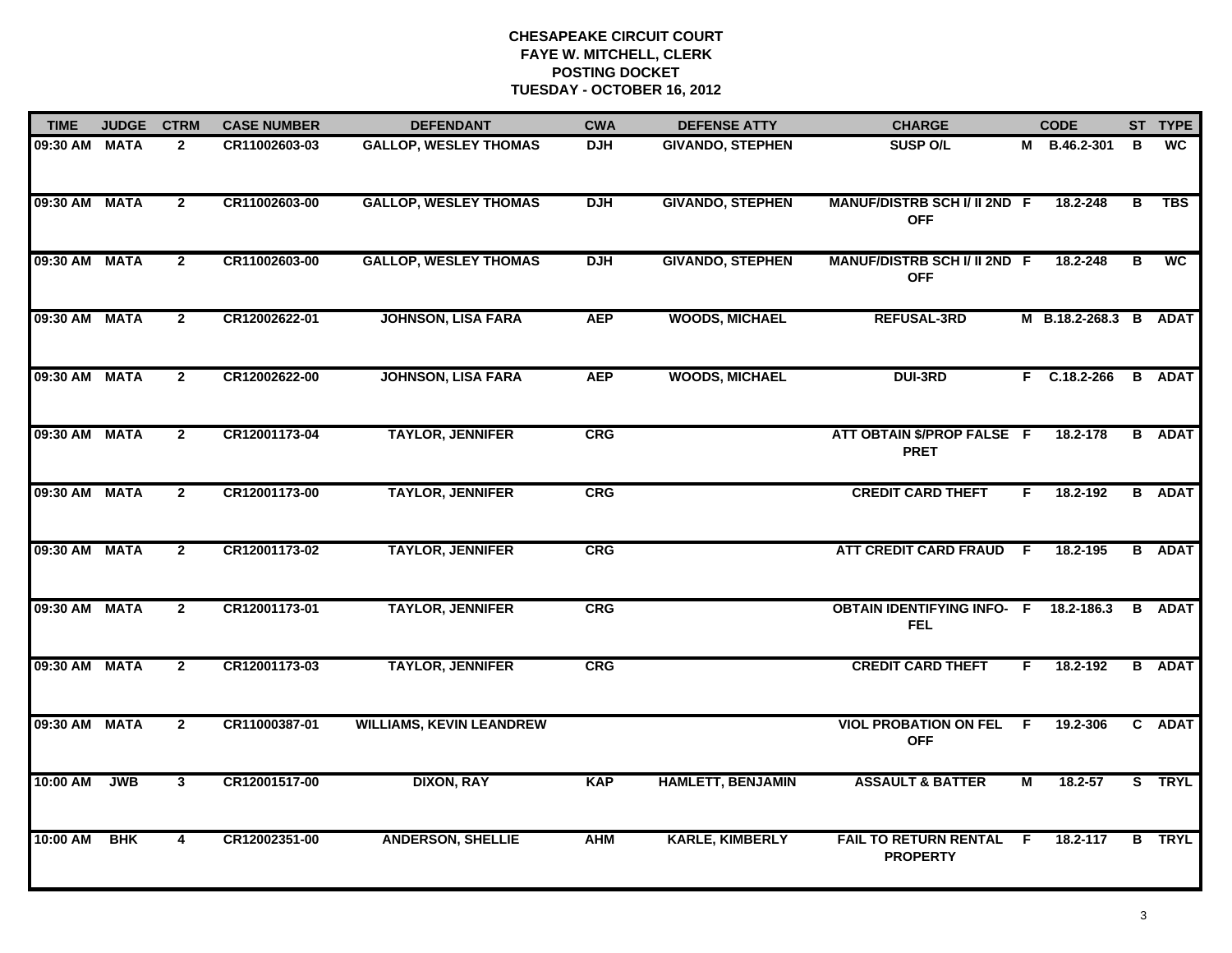| <b>TIME</b>   | <b>JUDGE</b> | <b>CTRM</b>             | <b>CASE NUMBER</b> | <b>DEFENDANT</b>                | <b>CWA</b> | <b>DEFENSE ATTY</b>      | <b>CHARGE</b>                                     |                | <b>CODE</b>           |   | ST TYPE       |
|---------------|--------------|-------------------------|--------------------|---------------------------------|------------|--------------------------|---------------------------------------------------|----------------|-----------------------|---|---------------|
| 09:30 AM MATA |              | $\mathbf{2}$            | CR11002603-03      | <b>GALLOP, WESLEY THOMAS</b>    | <b>DJH</b> | <b>GIVANDO, STEPHEN</b>  | <b>SUSP O/L</b>                                   |                | M B.46.2-301          | в | <b>WC</b>     |
| 09:30 AM      | <b>MATA</b>  | $\overline{2}$          | CR11002603-00      | <b>GALLOP, WESLEY THOMAS</b>    | <b>DJH</b> | <b>GIVANDO, STEPHEN</b>  | MANUF/DISTRB SCH I/ II 2ND F<br><b>OFF</b>        |                | 18.2-248              | в | <b>TBS</b>    |
| 09:30 AM MATA |              | $\mathbf{2}$            | CR11002603-00      | <b>GALLOP, WESLEY THOMAS</b>    | <b>DJH</b> | <b>GIVANDO, STEPHEN</b>  | <b>MANUF/DISTRB SCH I/ II 2ND F</b><br><b>OFF</b> |                | 18.2-248              | в | <b>WC</b>     |
| 09:30 AM      | <b>MATA</b>  | $\mathbf{2}$            | CR12002622-01      | <b>JOHNSON, LISA FARA</b>       | <b>AEP</b> | <b>WOODS, MICHAEL</b>    | <b>REFUSAL-3RD</b>                                |                | M B.18.2-268.3 B ADAT |   |               |
| 09:30 AM      | <b>MATA</b>  | $\mathbf{2}$            | CR12002622-00      | <b>JOHNSON, LISA FARA</b>       | <b>AEP</b> | <b>WOODS, MICHAEL</b>    | <b>DUI-3RD</b>                                    |                | F C.18.2-266          |   | <b>B</b> ADAT |
| 09:30 AM MATA |              | $\mathbf{2}$            | CR12001173-04      | <b>TAYLOR, JENNIFER</b>         | <b>CRG</b> |                          | ATT OBTAIN \$/PROP FALSE F<br><b>PRET</b>         |                | 18.2-178              |   | <b>B</b> ADAT |
| 09:30 AM      | <b>MATA</b>  | $\overline{2}$          | CR12001173-00      | <b>TAYLOR, JENNIFER</b>         | <b>CRG</b> |                          | <b>CREDIT CARD THEFT</b>                          | F.             | 18.2-192              |   | <b>B</b> ADAT |
| 09:30 AM MATA |              | $\overline{2}$          | CR12001173-02      | <b>TAYLOR, JENNIFER</b>         | <b>CRG</b> |                          | ATT CREDIT CARD FRAUD F                           |                | 18.2-195              |   | <b>B</b> ADAT |
| 09:30 AM      | <b>MATA</b>  | $\mathbf{2}$            | CR12001173-01      | <b>TAYLOR, JENNIFER</b>         | CRG        |                          | <b>OBTAIN IDENTIFYING INFO- F</b><br><b>FEL</b>   |                | 18.2-186.3            |   | <b>B</b> ADAT |
| 09:30 AM MATA |              | $\overline{2}$          | CR12001173-03      | <b>TAYLOR, JENNIFER</b>         | <b>CRG</b> |                          | <b>CREDIT CARD THEFT</b>                          | F.             | 18.2-192              |   | <b>B</b> ADAT |
| 09:30 AM      | <b>MATA</b>  | $\mathbf{2}$            | CR11000387-01      | <b>WILLIAMS, KEVIN LEANDREW</b> |            |                          | <b>VIOL PROBATION ON FEL</b><br><b>OFF</b>        | - F            | 19.2-306              | C | <b>ADAT</b>   |
| 10:00 AM      | <b>JWB</b>   | $\overline{\mathbf{3}}$ | CR12001517-00      | <b>DIXON, RAY</b>               | <b>KAP</b> | <b>HAMLETT, BENJAMIN</b> | <b>ASSAULT &amp; BATTER</b>                       | $\overline{M}$ | 18.2-57               |   | S TRYL        |
| 10:00 AM      | <b>BHK</b>   | 4                       | CR12002351-00      | <b>ANDERSON, SHELLIE</b>        | <b>AHM</b> | <b>KARLE, KIMBERLY</b>   | <b>FAIL TO RETURN RENTAL</b><br><b>PROPERTY</b>   | F.             | 18.2-117              |   | <b>B</b> TRYL |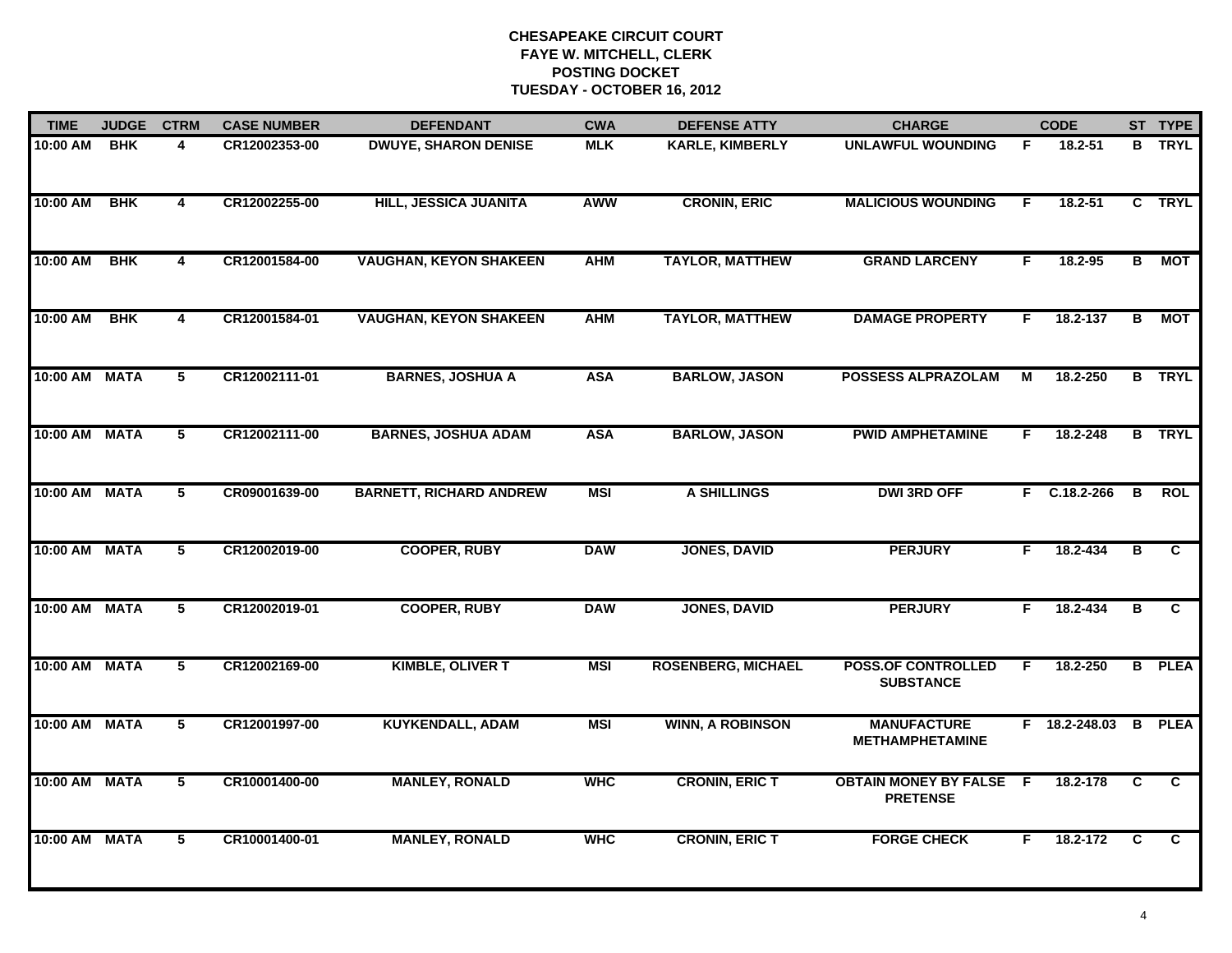| <b>TIME</b>   | <b>JUDGE</b> | <b>CTRM</b>             | <b>CASE NUMBER</b> | <b>DEFENDANT</b>               | <b>CWA</b> | <b>DEFENSE ATTY</b>       | <b>CHARGE</b>                                   |     | <b>CODE</b>          |   | ST TYPE       |
|---------------|--------------|-------------------------|--------------------|--------------------------------|------------|---------------------------|-------------------------------------------------|-----|----------------------|---|---------------|
| 10:00 AM      | <b>BHK</b>   | 4                       | CR12002353-00      | <b>DWUYE, SHARON DENISE</b>    | <b>MLK</b> | <b>KARLE, KIMBERLY</b>    | <b>UNLAWFUL WOUNDING</b>                        | F.  | 18.2-51              |   | <b>B</b> TRYL |
| 10:00 AM      | BHK          | $\overline{\mathbf{4}}$ | CR12002255-00      | HILL, JESSICA JUANITA          | <b>AWW</b> | <b>CRONIN, ERIC</b>       | <b>MALICIOUS WOUNDING</b>                       | F.  | $18.2 - 51$          |   | C TRYL        |
| 10:00 AM      | <b>BHK</b>   | 4                       | CR12001584-00      | <b>VAUGHAN, KEYON SHAKEEN</b>  | <b>AHM</b> | <b>TAYLOR, MATTHEW</b>    | <b>GRAND LARCENY</b>                            | F.  | 18.2-95              | В | <b>MOT</b>    |
| 10:00 AM      | <b>BHK</b>   | 4                       | CR12001584-01      | <b>VAUGHAN, KEYON SHAKEEN</b>  | <b>AHM</b> | <b>TAYLOR, MATTHEW</b>    | <b>DAMAGE PROPERTY</b>                          | F.  | 18.2-137             | В | МОТ           |
| 10:00 AM      | <b>MATA</b>  | 5                       | CR12002111-01      | <b>BARNES, JOSHUA A</b>        | <b>ASA</b> | <b>BARLOW, JASON</b>      | <b>POSSESS ALPRAZOLAM</b>                       | м   | 18.2-250             |   | <b>B</b> TRYL |
| 10:00 AM MATA |              | 5                       | CR12002111-00      | <b>BARNES, JOSHUA ADAM</b>     | <b>ASA</b> | <b>BARLOW, JASON</b>      | <b>PWID AMPHETAMINE</b>                         | F.  | 18.2-248             |   | <b>B</b> TRYL |
| 10:00 AM MATA |              | 5                       | CR09001639-00      | <b>BARNETT, RICHARD ANDREW</b> | <b>MSI</b> | <b>A SHILLINGS</b>        | <b>DWI 3RD OFF</b>                              |     | $F$ C.18.2-266       | В | <b>ROL</b>    |
| 10:00 AM MATA |              | 5                       | CR12002019-00      | <b>COOPER, RUBY</b>            | <b>DAW</b> | <b>JONES, DAVID</b>       | <b>PERJURY</b>                                  | F.  | 18.2-434             | B | C             |
| 10:00 AM      | <b>MATA</b>  | 5                       | CR12002019-01      | <b>COOPER, RUBY</b>            | <b>DAW</b> | <b>JONES, DAVID</b>       | <b>PERJURY</b>                                  | F.  | $18.2 - 434$         | в | C             |
| 10:00 AM      | <b>MATA</b>  | 5                       | CR12002169-00      | <b>KIMBLE, OLIVER T</b>        | <b>MSI</b> | <b>ROSENBERG, MICHAEL</b> | <b>POSS.OF CONTROLLED</b><br><b>SUBSTANCE</b>   | F.  | 18.2-250             |   | <b>B</b> PLEA |
| 10:00 AM MATA |              | 5                       | CR12001997-00      | <b>KUYKENDALL, ADAM</b>        | <b>MSI</b> | <b>WINN, A ROBINSON</b>   | <b>MANUFACTURE</b><br><b>METHAMPHETAMINE</b>    |     | F 18.2-248.03 B PLEA |   |               |
| 10:00 AM MATA |              | $\overline{5}$          | CR10001400-00      | <b>MANLEY, RONALD</b>          | <b>WHC</b> | <b>CRONIN, ERIC T</b>     | <b>OBTAIN MONEY BY FALSE</b><br><b>PRETENSE</b> | - F | 18.2-178             | C | C             |
| 10:00 AM MATA |              | 5                       | CR10001400-01      | <b>MANLEY, RONALD</b>          | <b>WHC</b> | <b>CRONIN, ERIC T</b>     | <b>FORGE CHECK</b>                              | F.  | 18.2-172             | C | C.            |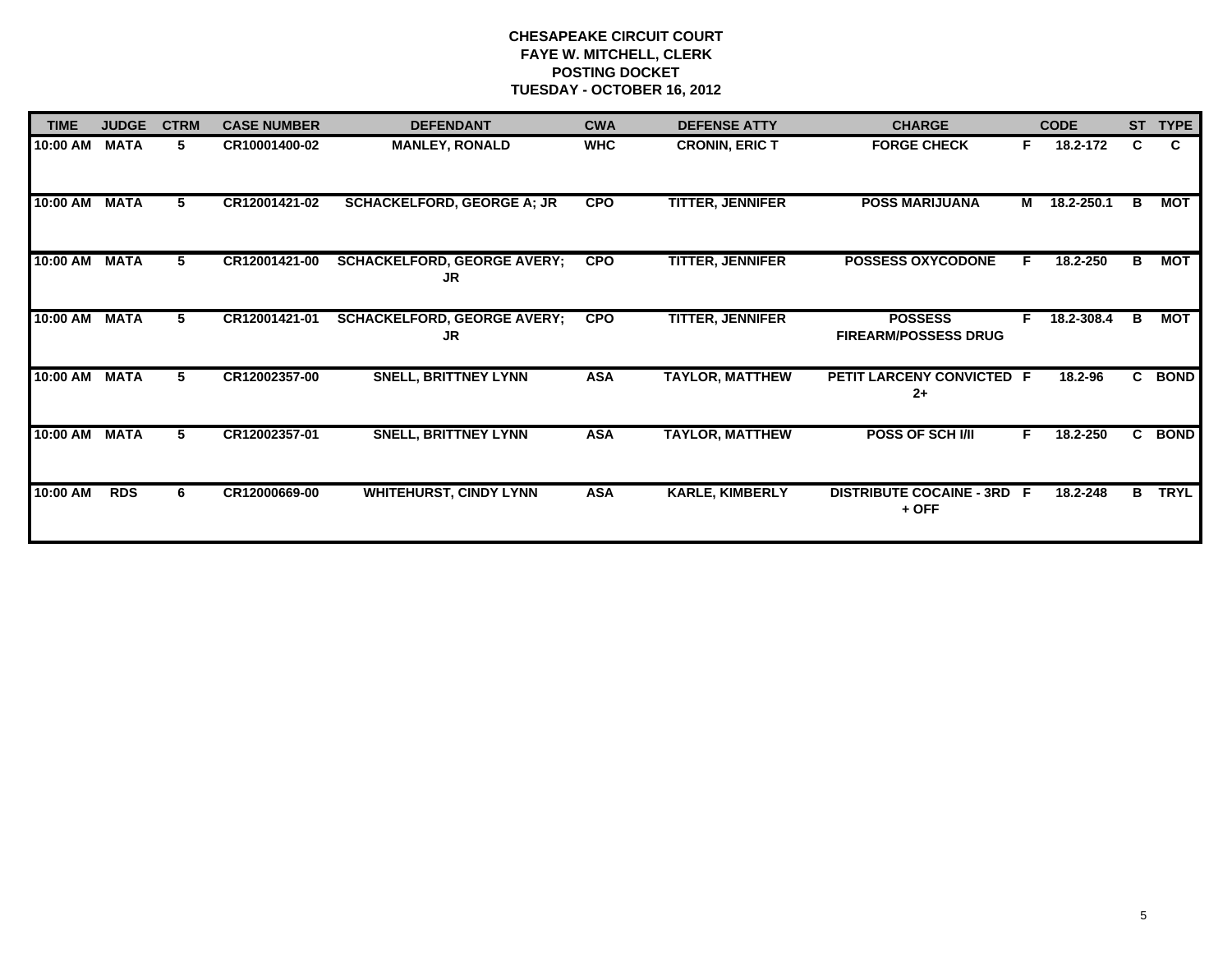| <b>TIME</b> | <b>JUDGE</b> | <b>CTRM</b> | <b>CASE NUMBER</b> | <b>DEFENDANT</b>                         | <b>CWA</b> | <b>DEFENSE ATTY</b>     | <b>CHARGE</b>                                 |    | <b>CODE</b> |    | ST TYPE     |
|-------------|--------------|-------------|--------------------|------------------------------------------|------------|-------------------------|-----------------------------------------------|----|-------------|----|-------------|
| 10:00 AM    | <b>MATA</b>  | 5           | CR10001400-02      | <b>MANLEY, RONALD</b>                    | <b>WHC</b> | <b>CRONIN, ERIC T</b>   | <b>FORGE CHECK</b>                            | F. | 18.2-172    | C  | C.          |
| 10:00 AM    | <b>MATA</b>  | 5           | CR12001421-02      | <b>SCHACKELFORD, GEORGE A; JR</b>        | <b>CPO</b> | <b>TITTER, JENNIFER</b> | <b>POSS MARIJUANA</b>                         | M  | 18.2-250.1  | B  | <b>MOT</b>  |
| 10:00 AM    | <b>MATA</b>  | 5.          | CR12001421-00      | <b>SCHACKELFORD, GEORGE AVERY;</b><br>JR | <b>CPO</b> | <b>TITTER, JENNIFER</b> | <b>POSSESS OXYCODONE</b>                      | F. | 18.2-250    | в  | MOT         |
| 10:00 AM    | <b>MATA</b>  | 5.          | CR12001421-01      | <b>SCHACKELFORD, GEORGE AVERY;</b><br>JR | <b>CPO</b> | <b>TITTER, JENNIFER</b> | <b>POSSESS</b><br><b>FIREARM/POSSESS DRUG</b> | E  | 18.2-308.4  | в  | MOT         |
| 10:00 AM    | <b>MATA</b>  | 5.          | CR12002357-00      | <b>SNELL, BRITTNEY LYNN</b>              | <b>ASA</b> | <b>TAYLOR, MATTHEW</b>  | PETIT LARCENY CONVICTED F<br>$2+$             |    | 18.2-96     | C. | <b>BOND</b> |
| 10:00 AM    | <b>MATA</b>  | 5.          | CR12002357-01      | <b>SNELL, BRITTNEY LYNN</b>              | <b>ASA</b> | <b>TAYLOR, MATTHEW</b>  | POSS OF SCH I/II                              | F. | 18.2-250    | C. | <b>BOND</b> |
| 10:00 AM    | <b>RDS</b>   | 6           | CR12000669-00      | <b>WHITEHURST, CINDY LYNN</b>            | <b>ASA</b> | <b>KARLE, KIMBERLY</b>  | <b>DISTRIBUTE COCAINE - 3RD F</b><br>$+$ OFF  |    | 18.2-248    | в  | <b>TRYL</b> |